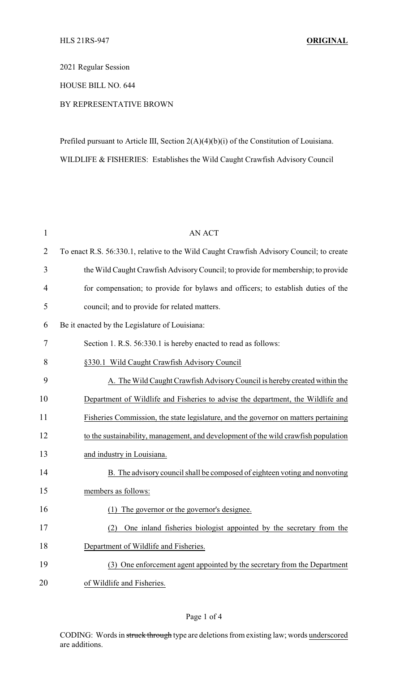2021 Regular Session

HOUSE BILL NO. 644

## BY REPRESENTATIVE BROWN

Prefiled pursuant to Article III, Section 2(A)(4)(b)(i) of the Constitution of Louisiana. WILDLIFE & FISHERIES: Establishes the Wild Caught Crawfish Advisory Council

| $\mathbf{1}$   | <b>AN ACT</b>                                                                            |
|----------------|------------------------------------------------------------------------------------------|
| $\overline{2}$ | To enact R.S. 56:330.1, relative to the Wild Caught Crawfish Advisory Council; to create |
| 3              | the Wild Caught Crawfish Advisory Council; to provide for membership; to provide         |
| 4              | for compensation; to provide for bylaws and officers; to establish duties of the         |
| 5              | council; and to provide for related matters.                                             |
| 6              | Be it enacted by the Legislature of Louisiana:                                           |
| 7              | Section 1. R.S. 56:330.1 is hereby enacted to read as follows:                           |
| 8              | §330.1 Wild Caught Crawfish Advisory Council                                             |
| 9              | A. The Wild Caught Crawfish Advisory Council is hereby created within the                |
| 10             | Department of Wildlife and Fisheries to advise the department, the Wildlife and          |
| 11             | Fisheries Commission, the state legislature, and the governor on matters pertaining      |
| 12             | to the sustainability, management, and development of the wild crawfish population       |
| 13             | and industry in Louisiana.                                                               |
| 14             | B. The advisory council shall be composed of eighteen voting and nonvoting               |
| 15             | members as follows:                                                                      |
| 16             | The governor or the governor's designee.<br>(1)                                          |
| 17             | (2) One inland fisheries biologist appointed by the secretary from the                   |
| 18             | Department of Wildlife and Fisheries.                                                    |
| 19             | (3) One enforcement agent appointed by the secretary from the Department                 |
| 20             | of Wildlife and Fisheries.                                                               |

## Page 1 of 4

CODING: Words in struck through type are deletions from existing law; words underscored are additions.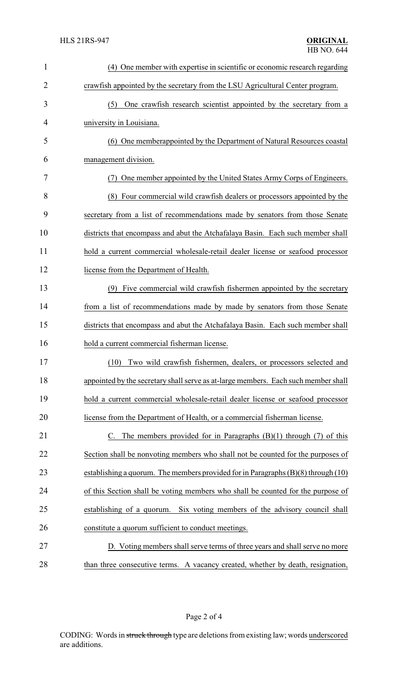| $\mathbf{1}$   | (4) One member with expertise in scientific or economic research regarding            |
|----------------|---------------------------------------------------------------------------------------|
| $\overline{2}$ | crawfish appointed by the secretary from the LSU Agricultural Center program.         |
| 3              | (5) One crawfish research scientist appointed by the secretary from a                 |
| 4              | university in Louisiana.                                                              |
| 5              | (6) One memberappointed by the Department of Natural Resources coastal                |
| 6              | management division.                                                                  |
| 7              | One member appointed by the United States Army Corps of Engineers.                    |
| 8              | (8) Four commercial wild crawfish dealers or processors appointed by the              |
| 9              | secretary from a list of recommendations made by senators from those Senate           |
| 10             | districts that encompass and abut the Atchafalaya Basin. Each such member shall       |
| 11             | hold a current commercial wholesale-retail dealer license or seafood processor        |
| 12             | license from the Department of Health.                                                |
| 13             | (9) Five commercial wild crawfish fishermen appointed by the secretary                |
| 14             | from a list of recommendations made by made by senators from those Senate             |
| 15             | districts that encompass and abut the Atchafalaya Basin. Each such member shall       |
| 16             | hold a current commercial fisherman license.                                          |
| 17             | Two wild crawfish fishermen, dealers, or processors selected and<br>(10)              |
| 18             | appointed by the secretary shall serve as at-large members. Each such member shall    |
| 19             | hold a current commercial wholesale-retail dealer license or seafood processor        |
| 20             | license from the Department of Health, or a commercial fisherman license.             |
| 21             | C. The members provided for in Paragraphs $(B)(1)$ through $(7)$ of this              |
| 22             | Section shall be nonvoting members who shall not be counted for the purposes of       |
| 23             | establishing a quorum. The members provided for in Paragraphs $(B)(8)$ through $(10)$ |
| 24             | of this Section shall be voting members who shall be counted for the purpose of       |
| 25             | establishing of a quorum. Six voting members of the advisory council shall            |
| 26             | constitute a quorum sufficient to conduct meetings.                                   |
| 27             | D. Voting members shall serve terms of three years and shall serve no more            |
| 28             | than three consecutive terms. A vacancy created, whether by death, resignation,       |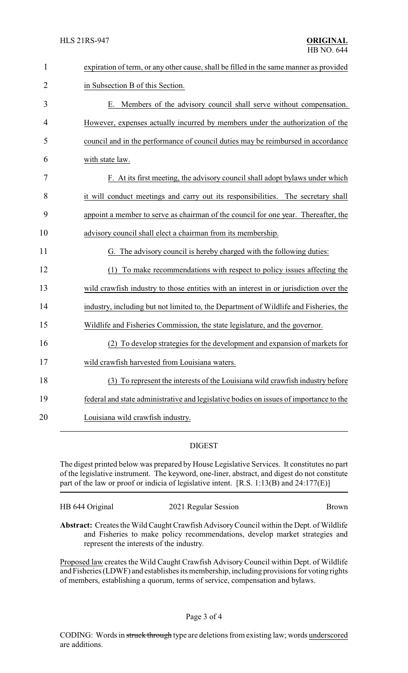| $\mathbf{1}$   | expiration of term, or any other cause, shall be filled in the same manner as provided |
|----------------|----------------------------------------------------------------------------------------|
| $\overline{2}$ | in Subsection B of this Section.                                                       |
| 3              | E. Members of the advisory council shall serve without compensation.                   |
| 4              | However, expenses actually incurred by members under the authorization of the          |
| 5              | council and in the performance of council duties may be reimbursed in accordance       |
| 6              | with state law.                                                                        |
| 7              | F. At its first meeting, the advisory council shall adopt bylaws under which           |
| 8              | it will conduct meetings and carry out its responsibilities. The secretary shall       |
| 9              | appoint a member to serve as chairman of the council for one year. Thereafter, the     |
| 10             | advisory council shall elect a chairman from its membership.                           |
| 11             | G. The advisory council is hereby charged with the following duties:                   |
| 12             | To make recommendations with respect to policy issues affecting the<br>(1)             |
| 13             | wild crawfish industry to those entities with an interest in or jurisdiction over the  |
| 14             | industry, including but not limited to, the Department of Wildlife and Fisheries, the  |
| 15             | Wildlife and Fisheries Commission, the state legislature, and the governor.            |
| 16             | To develop strategies for the development and expansion of markets for                 |
| 17             | wild crawfish harvested from Louisiana waters.                                         |
| 18             | (3) To represent the interests of the Louisiana wild crawfish industry before          |
| 19             | federal and state administrative and legislative bodies on issues of importance to the |
| 20             | Louisiana wild crawfish industry.                                                      |

## DIGEST

The digest printed below was prepared by House Legislative Services. It constitutes no part of the legislative instrument. The keyword, one-liner, abstract, and digest do not constitute part of the law or proof or indicia of legislative intent. [R.S. 1:13(B) and 24:177(E)]

HB 644 Original 2021 Regular Session Brown

**Abstract:** Creates the Wild Caught Crawfish AdvisoryCouncil within the Dept. of Wildlife and Fisheries to make policy recommendations, develop market strategies and represent the interests of the industry.

Proposed law creates the Wild Caught Crawfish Advisory Council within Dept. of Wildlife and Fisheries (LDWF) and establishes its membership, including provisions for voting rights of members, establishing a quorum, terms of service, compensation and bylaws.